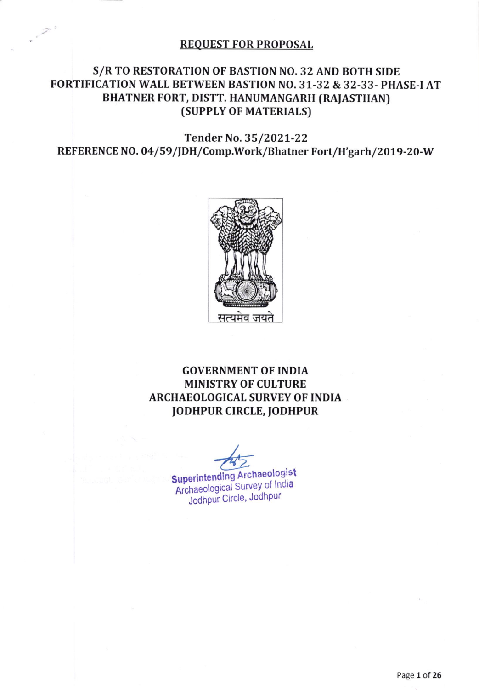#### **REQUEST FOR PROPOSAL**

## S/R TO RESTORATION OF BASTION NO. 32 AND BOTH SIDE FORTIFICATION WALL BETWEEN BASTION NO. 31-32 & 32-33- PHASE-I AT BHATNER FORT, DISTT. HANUMANGARH (RAJASTHAN) (SUPPLY OF MATERIALS)

Tender No. 35/2021-22 REFERENCE NO. 04/59/JDH/Comp.Work/Bhatner Fort/H'garh/2019-20-W



# **GOVERNMENT OF INDIA MINISTRY OF CULTURE ARCHAEOLOGICAL SURVEY OF INDIA JODHPUR CIRCLE, JODHPUR**

**Superintending Archaeologist** Archaeological Survey of India Jodhpur Circle, Jodhpur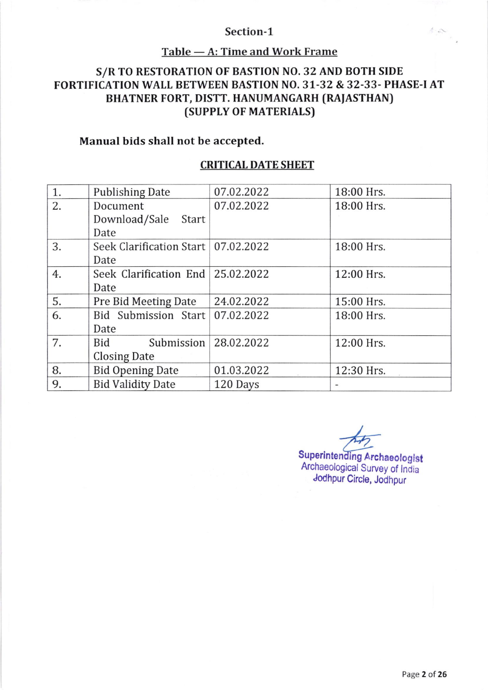#### Section-1

### TahIe A: Time and Work Frame

# s/R TO RESTORATTON OF BASTION NO. 32 AND BOTH SIDE FORTIFICATION WAIL BETWEEN BASTION NO. 31-32 & 32-33. PHASE.I AT BHATNER FORT, DISTT. HANUMANGARH (RAIASTHAN) (SUPPLY OF MATERIALS)

### Manual bids shall not be accepted.

### CRITICAL DATE SHEET

| 1. | <b>Publishing Date</b>                | 07.02.2022 | 18:00 Hrs. |
|----|---------------------------------------|------------|------------|
| 2. | Document                              | 07.02.2022 | 18:00 Hrs. |
|    | Download/Sale Start                   |            |            |
|    | Date                                  |            |            |
| 3. | Seek Clarification Start   07.02.2022 |            | 18:00 Hrs. |
|    | Date                                  |            |            |
| 4. | Seek Clarification End 25.02.2022     |            | 12:00 Hrs. |
|    | Date                                  |            |            |
| 5. | Pre Bid Meeting Date                  | 24.02.2022 | 15:00 Hrs. |
| 6. | Bid Submission Start                  | 07.02.2022 | 18:00 Hrs. |
|    | Date                                  |            |            |
| 7. | Submission<br>Bid                     | 28.02.2022 | 12:00 Hrs. |
|    | Closing Date                          |            |            |
| 8. | <b>Bid Opening Date</b>               | 01.03.2022 | 12:30 Hrs. |
| 9. | <b>Bid Validity Date</b>              | 120 Days   |            |

I  $\frac{4}{\sqrt{2}}$ 

Superintending Archaeologist Archaeological Survey of India Jodhpur Circle, Jodhpur